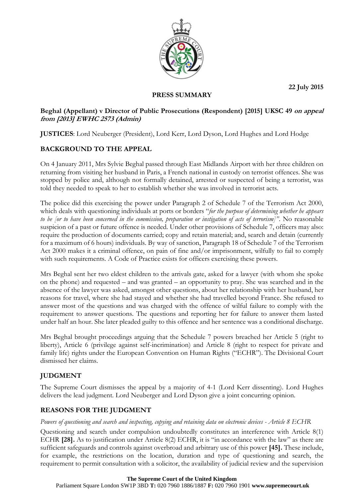**22 July 2015**



## **PRESS SUMMARY**

## **Beghal (Appellant) v Director of Public Prosecutions (Respondent) [2015] UKSC 49 on appeal from [2013] EWHC 2573 (Admin)**

**JUSTICES**: Lord Neuberger (President), Lord Kerr, Lord Dyson, Lord Hughes and Lord Hodge

# **BACKGROUND TO THE APPEAL**

On 4 January 2011, Mrs Sylvie Beghal passed through East Midlands Airport with her three children on returning from visiting her husband in Paris, a French national in custody on terrorist offences. She was stopped by police and, although not formally detained, arrested or suspected of being a terrorist, was told they needed to speak to her to establish whether she was involved in terrorist acts.

The police did this exercising the power under Paragraph 2 of Schedule 7 of the Terrorism Act 2000, which deals with questioning individuals at ports or borders "*for the purpose of determining whether he appears to be [or to have been concerned in the commission, preparation or instigation of acts of terrorism]"*. No reasonable suspicion of a past or future offence is needed. Under other provisions of Schedule 7, officers may also: require the production of documents carried; copy and retain material; and, search and detain (currently for a maximum of 6 hours) individuals. By way of sanction, Paragraph 18 of Schedule 7 of the Terrorism Act 2000 makes it a criminal offence, on pain of fine and/or imprisonment, wilfully to fail to comply with such requirements. A Code of Practice exists for officers exercising these powers.

Mrs Beghal sent her two eldest children to the arrivals gate, asked for a lawyer (with whom she spoke on the phone) and requested – and was granted – an opportunity to pray. She was searched and in the absence of the lawyer was asked, amongst other questions, about her relationship with her husband, her reasons for travel, where she had stayed and whether she had travelled beyond France. She refused to answer most of the questions and was charged with the offence of wilful failure to comply with the requirement to answer questions. The questions and reporting her for failure to answer them lasted under half an hour. She later pleaded guilty to this offence and her sentence was a conditional discharge.

Mrs Beghal brought proceedings arguing that the Schedule 7 powers breached her Article 5 (right to liberty), Article 6 (privilege against self-incrimination) and Article 8 (right to respect for private and family life) rights under the European Convention on Human Rights ("ECHR"). The Divisional Court dismissed her claims.

## **JUDGMENT**

The Supreme Court dismisses the appeal by a majority of 4-1 (Lord Kerr dissenting). Lord Hughes delivers the lead judgment. Lord Neuberger and Lord Dyson give a joint concurring opinion.

## **REASONS FOR THE JUDGMENT**

### *Powers of questioning and search and inspecting, copying and retaining data on electronic devices - Article 8 ECHR*

Questioning and search under compulsion undoubtedly constitutes an interference with Article 8(1) ECHR **[28].** As to justification under Article 8(2) ECHR, it is "in accordance with the law" as there are sufficient safeguards and controls against overbroad and arbitrary use of this power **[45].** These include, for example, the restrictions on the location, duration and type of questioning and search, the requirement to permit consultation with a solicitor, the availability of judicial review and the supervision

#### **The Supreme Court of the United Kingdom**

Parliament Square London SW1P 3BD **T:** 020 7960 1886/1887 **F:** 020 7960 1901 **www.supremecourt.uk**